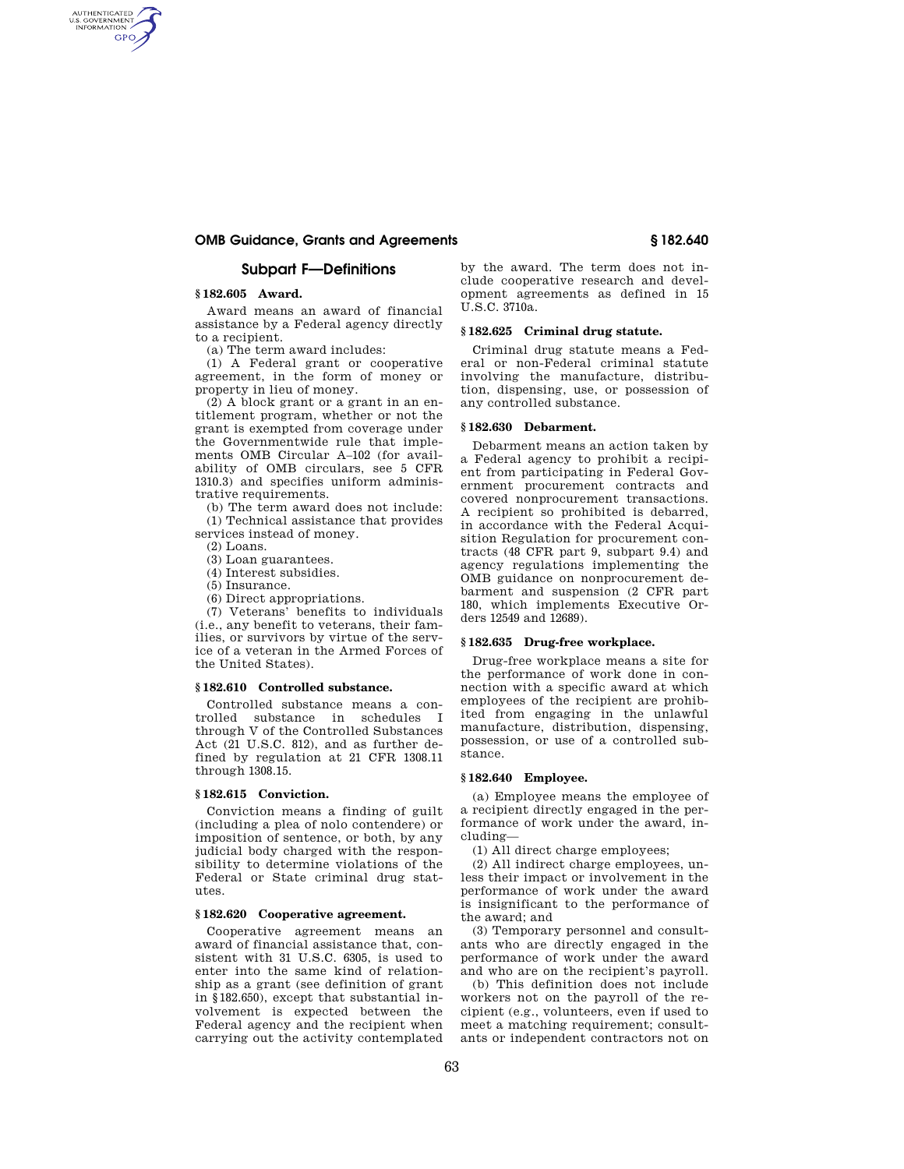## **OMB Guidance, Grants and Agreements § 182.640**

## **Subpart F—Definitions**

#### **§ 182.605 Award.**

AUTHENTICATED<br>U.S. GOVERNMENT<br>INFORMATION **GPO** 

> Award means an award of financial assistance by a Federal agency directly to a recipient.

(a) The term award includes:

(1) A Federal grant or cooperative agreement, in the form of money or property in lieu of money.

(2) A block grant or a grant in an entitlement program, whether or not the grant is exempted from coverage under the Governmentwide rule that implements OMB Circular A–102 (for availability of OMB circulars, see 5 CFR 1310.3) and specifies uniform administrative requirements.

(b) The term award does not include: (1) Technical assistance that provides services instead of money.

 $(2)$  Loans.

(3) Loan guarantees.

(4) Interest subsidies.

- (5) Insurance.
- (6) Direct appropriations.

(7) Veterans' benefits to individuals (i.e., any benefit to veterans, their families, or survivors by virtue of the service of a veteran in the Armed Forces of the United States).

#### **§ 182.610 Controlled substance.**

Controlled substance means a controlled substance in schedules I through V of the Controlled Substances Act (21 U.S.C. 812), and as further defined by regulation at 21 CFR 1308.11 through 1308.15.

#### **§ 182.615 Conviction.**

Conviction means a finding of guilt (including a plea of nolo contendere) or imposition of sentence, or both, by any judicial body charged with the responsibility to determine violations of the Federal or State criminal drug statutes.

## **§ 182.620 Cooperative agreement.**

Cooperative agreement means an award of financial assistance that, consistent with 31 U.S.C. 6305, is used to enter into the same kind of relationship as a grant (see definition of grant in §182.650), except that substantial involvement is expected between the Federal agency and the recipient when carrying out the activity contemplated

by the award. The term does not include cooperative research and development agreements as defined in 15 U.S.C. 3710a.

#### **§ 182.625 Criminal drug statute.**

Criminal drug statute means a Federal or non-Federal criminal statute involving the manufacture, distribution, dispensing, use, or possession of any controlled substance.

## **§ 182.630 Debarment.**

Debarment means an action taken by a Federal agency to prohibit a recipient from participating in Federal Government procurement contracts and covered nonprocurement transactions. A recipient so prohibited is debarred, in accordance with the Federal Acquisition Regulation for procurement contracts (48 CFR part 9, subpart 9.4) and agency regulations implementing the OMB guidance on nonprocurement debarment and suspension (2 CFR part 180, which implements Executive Orders 12549 and 12689).

## **§ 182.635 Drug-free workplace.**

Drug-free workplace means a site for the performance of work done in connection with a specific award at which employees of the recipient are prohibited from engaging in the unlawful manufacture, distribution, dispensing, possession, or use of a controlled substance.

### **§ 182.640 Employee.**

(a) Employee means the employee of a recipient directly engaged in the performance of work under the award, including—

(1) All direct charge employees;

(2) All indirect charge employees, unless their impact or involvement in the performance of work under the award is insignificant to the performance of the award; and

(3) Temporary personnel and consultants who are directly engaged in the performance of work under the award and who are on the recipient's payroll.

(b) This definition does not include workers not on the payroll of the recipient (e.g., volunteers, even if used to meet a matching requirement; consultants or independent contractors not on